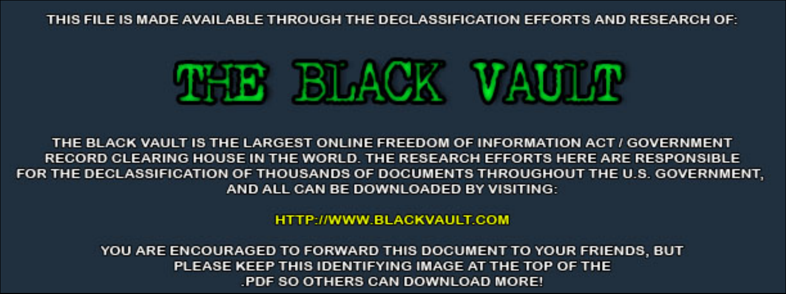THIS FILE IS MADE AVAILABLE THROUGH THE DECLASSIFICATION EFFORTS AND RESEARCH OF:



THE BLACK VAULT IS THE LARGEST ONLINE FREEDOM OF INFORMATION ACT / GOVERNMENT RECORD CLEARING HOUSE IN THE WORLD. THE RESEARCH EFFORTS HERE ARE RESPONSIBLE FOR THE DECLASSIFICATION OF THOUSANDS OF DOCUMENTS THROUGHOUT THE U.S. GOVERNMENT, AND ALL CAN BE DOWNLOADED BY VISITING:

**HTTP://WWW.BLACKVAULT.COM** 

YOU ARE ENCOURAGED TO FORWARD THIS DOCUMENT TO YOUR FRIENDS, BUT PLEASE KEEP THIS IDENTIFYING IMAGE AT THE TOP OF THE PDF SO OTHERS CAN DOWNLOAD MORE!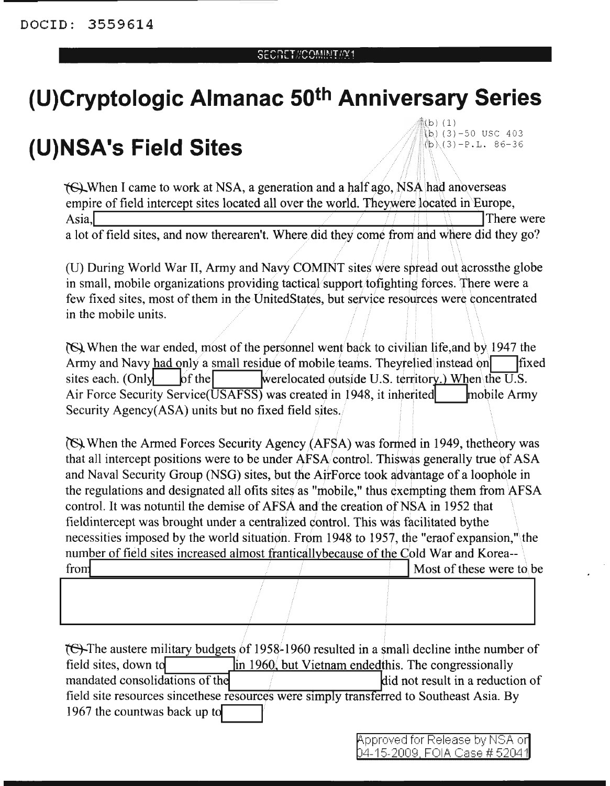## SECRET//COMINI/PY1

## **(U)Cryptologic Almanac 50th Anniversary Series**

## **(U)NSA's Field Sites**

 $(\,\mathrm{b})$  (1)  $(b)$  (3)-50 USC 403  $(b)(3)-P.L.86-36$ 

**TG).** When I came to work at NSA, a generation and a half ago, NSA had anoverseas empire of field intercept sites located all over the world. Theywere located in Europe, Asia, There were were the contract of the contract of the contract of the contract of the contract of the contract of the contract of the contract of the contract of the contract of the contract of the contract of the cont a lot of field sites, and now therearen't. Where did they come from and where did they go?

(U) During World War II, Army and Navy COMINT sites were spread out acrossthe globe in small, mobile organizations providing tactical support to fighting forces. There were a few fixed sites, most of them in the UnitedStates, but service resources were concentrated in the mobile units.

(S) When the war ended, most of the personnel went back to civilian life, and by 1947 the Army and Navy had only a small residue of mobile teams. Theyrelied instead on  $\Box$  fixed sites each. (Only  $\qquad$  of the werelocated outside U.S. territory.) When the U.S. Air Force Security Service( $\overline{USAFSS}$ ) was created in 1948, it inherited mobile Army Security Agency(ASA) units but no fixed field sites.

When the Armed Forces Security Agency (AFSA) was formed in 1949, thetheory was that all intercept positions were to be under AFSA control. This was generally true of ASA and Naval Security Group (NSG) sites, but the AirForce took advantage of a loophole in the regulations and designated all ofits sites as "mobile," thus exempting them from  $\overline{AFSA}$ control. It was notuntil the demise of AFSA and the creation of NSA in 1952 that fieldintercept was brought under a centralized control. This was facilitated bythe necessities imposed by the world situation. From 1948 to 1957, the "eraof expansion," the number of field sites increased almost frantically because of the Cold War and Korea--<br>from Most of these were to be

I <sup>I</sup> tet-The austere military budgets of 1958-1960 resulted in a small decline inthe number of field sites, down to **in 1960**, but Vietnam endedthis. The congressionally mandated consolidations of the interest in a reduction of  $\mathbf{d}$  id not result in a reduction of field site resources since these resources were simply transferred to Southeast Asia. By 1967 the countwas back up to